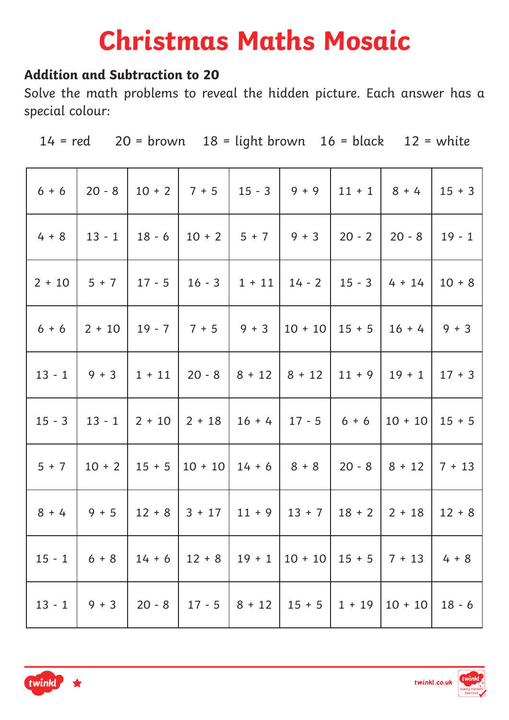# **Christmas Maths Mosaic**

### **Addition and Subtraction to 20**

|  | $14 = red$ 20 = brown 18 = light brown 16 = black 12 = white |  |
|--|--------------------------------------------------------------|--|
|  |                                                              |  |

| $6 + 6$  |                   |                   |                                    |          |                                            |                                                                                 | $15 + 3$ |
|----------|-------------------|-------------------|------------------------------------|----------|--------------------------------------------|---------------------------------------------------------------------------------|----------|
| $4 + 8$  | $ 13 - 1 18 - 6 $ |                   |                                    |          | $10 + 2$   5 + 7   9 + 3   20 - 2   20 - 8 |                                                                                 | $19 - 1$ |
|          |                   |                   |                                    |          |                                            | $2 + 10$   5 + 7   17 - 5   16 - 3   1 + 11   14 - 2   15 - 3   4 + 14          | $10 + 8$ |
| $6 + 6$  |                   |                   | $ 2 + 10   19 - 7   7 + 5   9 + 3$ |          |                                            | $ 10 \div 10 15 \div 5 16 \div 4 9 \div 3$                                      |          |
|          |                   |                   |                                    |          |                                            | $13 - 1$   9 + 3   1 + 11   20 - 8   8 + 12   8 + 12   11 + 9   19 + 1   17 + 3 |          |
| $15 - 3$ |                   | $13 - 1$   2 + 10 | $2 + 18$                           |          | $16+4$   17 - 5   6 + 6                    | $10 + 10$                                                                       | $15 + 5$ |
|          |                   |                   |                                    |          |                                            | $5+7$   10 + 2   15 + 5   10 + 10   14 + 6   8 + 8   20 - 8   8 + 12   7 + 13   |          |
| $8 + 4$  |                   | $9 + 5$   12 + 8  | $3 + 17$                           | $11 + 9$ | $13 + 7$   $18 + 2$   $2 + 18$             |                                                                                 | $12 + 8$ |
|          |                   |                   |                                    |          |                                            | $15 - 1$   6 + 8   14 + 6   12 + 8   19 + 1   10 + 10   15 + 5   7 + 13         | $4 + 8$  |
|          | $13 - 1$ 9 + 3    | 20 - 8            |                                    |          |                                            | $17 - 5$   8 + 12   15 + 5   1 + 19   10 + 10                                   | $18 - 6$ |



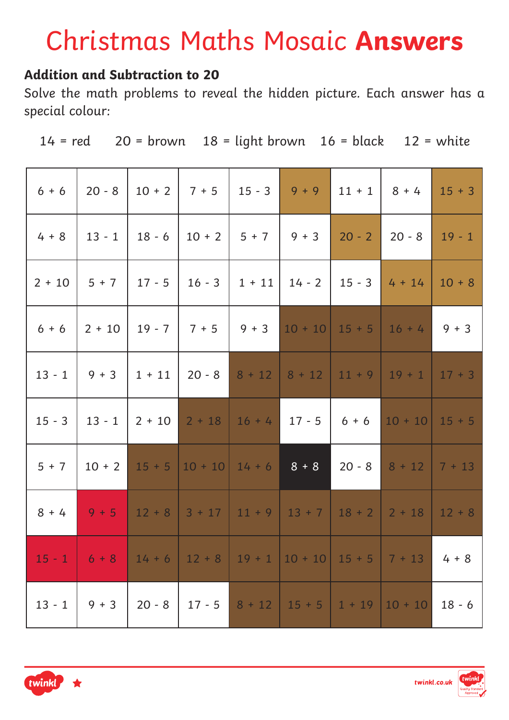## Christmas Maths Mosaic **Answers**

### **Addition and Subtraction to 20**

|  | $14 = red$ 20 = brown 18 = light brown 16 = black 12 = white |  |
|--|--------------------------------------------------------------|--|
|  |                                                              |  |

| $6 + 6$  |         |                   |                                   |                                   |                                                                                 | $15 + 3$ |
|----------|---------|-------------------|-----------------------------------|-----------------------------------|---------------------------------------------------------------------------------|----------|
| $4 + 8$  |         | $13 - 1$   18 - 6 |                                   | $10 + 2$   5 + 7   9 + 3   20 - 2 | $20 - 8$                                                                        | $19 - 1$ |
|          |         |                   |                                   |                                   | $2 + 10$   5 + 7   17 - 5   16 - 3   1 + 11   14 - 2   15 - 3   4 + 14          | $10 + 8$ |
| $6 + 6$  |         |                   | $2 + 10$   19 - 7   7 + 5   9 + 3 |                                   | $10 + 10$ 15 + 5 16 + 4 9 + 3                                                   |          |
|          |         |                   |                                   |                                   | $13 - 1$   9 + 3   1 + 11   20 - 8   8 + 12   8 + 12   11 + 9   19 + 1   17 + 3 |          |
| $15 - 3$ |         | $13 - 1$   2 + 10 | $2 + 18$                          | $16+4$ 17 - 5 6 + 6               | $10 + 10$ 15 + 5                                                                |          |
|          |         |                   |                                   |                                   | $5+7$   10 + 2   15 + 5   10 + 10   14 + 6   8 + 8   20 - 8   8 + 12   7 + 13   |          |
| $8 + 4$  |         |                   |                                   |                                   | $9 + 5$ 12 + 8 3 + 17 11 + 9 13 + 7 18 + 2 2 + 18                               | $12 + 8$ |
|          |         |                   |                                   |                                   | $15 - 1$ 6 + 8 14 + 6 12 + 8 19 + 1 10 + 10 15 + 5 7 + 13 4 + 8                 |          |
| $13 - 1$ | $9 + 3$ |                   | $20 - 8$   17 - 5                 |                                   | $8 + 12$   15 + 5   1 + 19   10 + 10   18 - 6                                   |          |

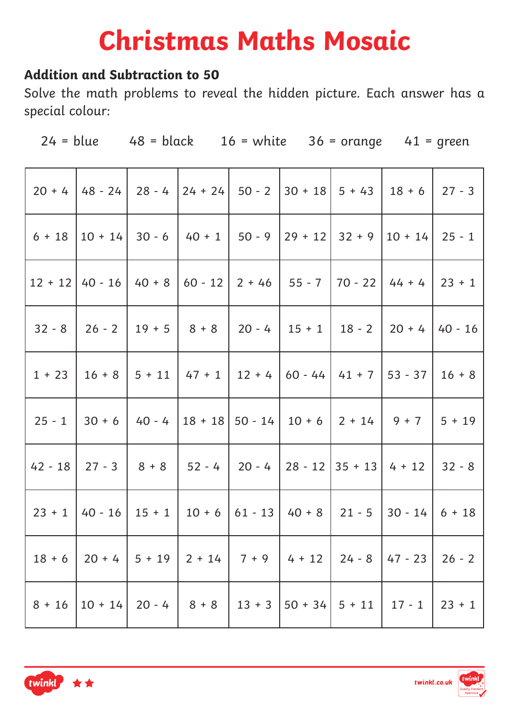# **Christmas Maths Mosaic**

### **Addition and Subtraction to 50**

Solve the math problems to reveal the hidden picture. Each answer has a special colour:

| $20 + 4$   48 - 24   28 - 4   24 + 24   50 - 2   30 + 18   5 + 43   18 + 6   27 - 3 |  |  |  |  |
|-------------------------------------------------------------------------------------|--|--|--|--|
| $6 + 18$   10 + 14   30 - 6   40 + 1   50 - 9   29 + 12   32 + 9   10 + 14   25 - 1 |  |  |  |  |
| $12 + 12$ 40 - 16   40 + 8   60 - 12   2 + 46   55 - 7   70 - 22   44 + 4   23 + 1  |  |  |  |  |
| $32 - 8$   26 - 2   19 + 5   8 + 8   20 - 4   15 + 1   18 - 2   20 + 4   40 - 16    |  |  |  |  |
| $1+23$   16 + 8   5 + 11   47 + 1   12 + 4   60 - 44   41 + 7   53 - 37   16 + 8    |  |  |  |  |
| $25 - 1$   30 + 6   40 - 4   18 + 18   50 - 14   10 + 6   2 + 14   9 + 7   5 + 19   |  |  |  |  |
| $42 - 18$   27 - 3   8 + 8   52 - 4   20 - 4   28 - 12   35 + 13   4 + 12   32 - 8  |  |  |  |  |
| $23 + 1$ 40 - 16   15 + 1   10 + 6   61 - 13   40 + 8   21 - 5   30 - 14   6 + 18   |  |  |  |  |
| $18 + 6$   20 + 4   5 + 19   2 + 14   7 + 9   4 + 12   24 - 8   47 - 23   26 - 2    |  |  |  |  |
| $8 + 16$   10 + 14   20 - 4   8 + 8   13 + 3   50 + 34   5 + 11   17 - 1   23 + 1   |  |  |  |  |

 $24 = blue$  48 = black 16 = white 36 = orange 41 = green



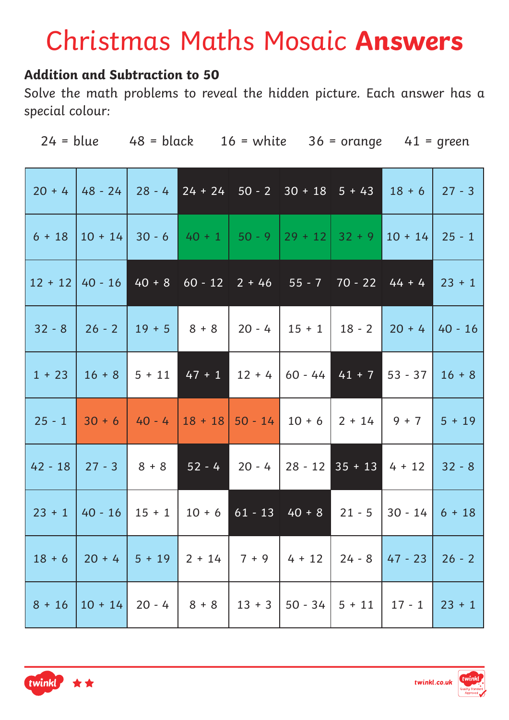## Christmas Maths Mosaic **Answers**

#### **Addition and Subtraction to 50**

|          |                            | $20 + 4$ 48 - 24 28 - 4 24 + 24 50 - 2 30 + 18 5 + 43 18 + 6 27 - 3                                          |          |                                               |          |          |
|----------|----------------------------|--------------------------------------------------------------------------------------------------------------|----------|-----------------------------------------------|----------|----------|
| $6 + 18$ |                            | $\vert 10 + 14 \vert 30 - 6 \vert 40 + 1 \vert 50 - 9 \vert 29 + 12 \vert 32 + 9 \vert 10 + 14 \vert 25 - 1$ |          |                                               |          |          |
|          |                            | $12 + 12$ 40 - 16 40 + 8 60 - 12 2 + 46 55 - 7 70 - 22 44 + 4                                                |          |                                               |          | $23 + 1$ |
|          |                            | $32 - 8$   26 - 2   19 + 5   8 + 8                                                                           |          | $20 - 4$   15 + 1   18 - 2   20 + 4   40 - 16 |          |          |
|          | $1 + 23$   16 + 8   5 + 11 |                                                                                                              |          | $47 + 1$ 12 + 4 60 - 44 41 + 7 53 - 37 16 + 8 |          |          |
|          |                            | $25 - 1$ 30 + 6 40 - 4 18 + 18 50 - 14 10 + 6 2 + 14                                                         |          |                                               | $9 + 7$  | $5 + 19$ |
|          | $42 - 18$   27 - 3   8 + 8 |                                                                                                              |          | $52 - 4$ 20 - 4 28 - 12 35 + 13 4 + 12        |          | $32 - 8$ |
|          |                            | $23 + 1$ 40 - 16 15 + 1 10 + 6                                                                               |          | $61 - 13$ 40 + 8 21 - 5 30 - 14 6 + 18        |          |          |
|          |                            | $18 + 6$   20 + 4   5 + 19   2 + 14   7 + 9   4 + 12   24 - 8   47 - 23   26 - 2                             |          |                                               |          |          |
| $8 + 16$ | $ 10 + 14 $ 20 - 4         | $8 + 8$                                                                                                      | $13 + 3$ | $ 50 - 34   5 + 11  $                         | $17 - 1$ | $23 + 1$ |





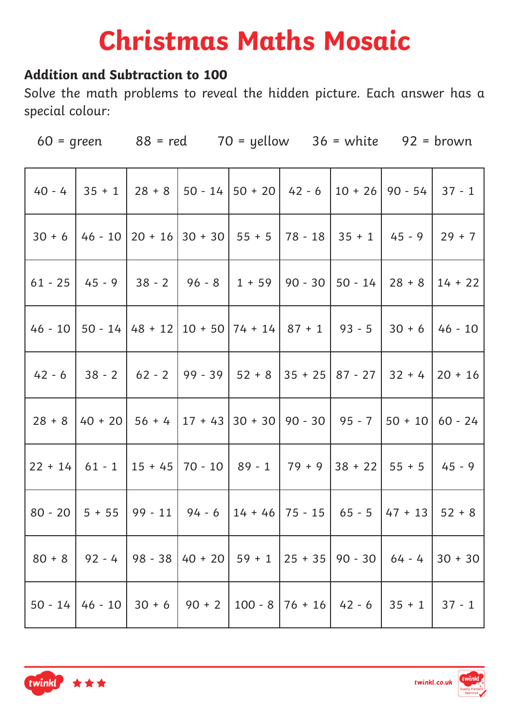# **Christmas Maths Mosaic**

### **Addition and Subtraction to 100**

|                                                                                    | $60 =$ green $88 =$ red $70 =$ yellow $36 =$ white $92 =$ brown                    |  |  |  |                                                                                        |
|------------------------------------------------------------------------------------|------------------------------------------------------------------------------------|--|--|--|----------------------------------------------------------------------------------------|
|                                                                                    |                                                                                    |  |  |  | $40 - 4$   35 + 1   28 + 8   50 - 14   50 + 20   42 - 6   10 + 26   90 - 54   37 - 1   |
|                                                                                    | $30 + 6$ 46 - 10 20 + 16 30 + 30 55 + 5 78 - 18 35 + 1 45 - 9                      |  |  |  | $29 + 7$                                                                               |
|                                                                                    | $61 - 25$ 45 - 9 38 - 2 96 - 8 1 + 59 90 - 30 50 - 14 28 + 8                       |  |  |  | $14 + 22$                                                                              |
|                                                                                    | $46 - 10$   50 - 14   48 + 12   10 + 50   74 + 14   87 + 1   93 - 5   30 + 6       |  |  |  | 46 - 10                                                                                |
|                                                                                    |                                                                                    |  |  |  | 42 - 6   38 - 2   62 - 2   99 - 39   52 + 8   35 + 25   87 - 27   32 + 4   20 + 16     |
|                                                                                    |                                                                                    |  |  |  | $28 + 8$   40 + 20   56 + 4   17 + 43   30 + 30   90 - 30   95 - 7   50 + 10   60 - 24 |
|                                                                                    | $22 + 14$ 61 - 1 15 + 45 70 - 10 89 - 1 79 + 9 38 + 22 55 + 5                      |  |  |  | $45 - 9$                                                                               |
| 80 - 20   5 + 55   99 - 11   94 - 6   14 + 46   75 - 15   65 - 5  47 + 13   52 + 8 |                                                                                    |  |  |  |                                                                                        |
|                                                                                    |                                                                                    |  |  |  | $80 + 8$   92 - 4   98 - 38   40 + 20   59 + 1   25 + 35   90 - 30   64 - 4   30 + 30  |
|                                                                                    | $50 - 14$ 46 - 10   30 + 6   90 + 2   100 - 8   76 + 16   42 - 6   35 + 1   37 - 1 |  |  |  |                                                                                        |